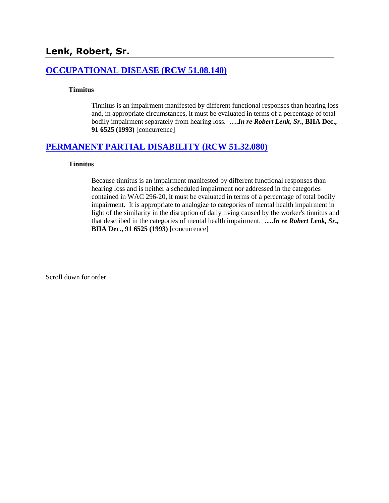# **[OCCUPATIONAL DISEASE \(RCW 51.08.140\)](http://www.biia.wa.gov/SDSubjectIndex.html#OCCUPATIONAL_DISEASE)**

#### **Tinnitus**

Tinnitus is an impairment manifested by different functional responses than hearing loss and, in appropriate circumstances, it must be evaluated in terms of a percentage of total bodily impairment separately from hearing loss. **….***In re Robert Lenk, Sr***., BIIA Dec., 91 6525 (1993)** [concurrence]

# **[PERMANENT PARTIAL DISABILITY \(RCW 51.32.080\)](http://www.biia.wa.gov/SDSubjectIndex.html#PERMANENT_PARTIAL_DISABILITY)**

#### **Tinnitus**

Because tinnitus is an impairment manifested by different functional responses than hearing loss and is neither a scheduled impairment nor addressed in the categories contained in WAC 296-20, it must be evaluated in terms of a percentage of total bodily impairment. It is appropriate to analogize to categories of mental health impairment in light of the similarity in the disruption of daily living caused by the worker's tinnitus and that described in the categories of mental health impairment. **….***In re Robert Lenk, Sr***., BIIA Dec., 91 6525 (1993)** [concurrence]

Scroll down for order.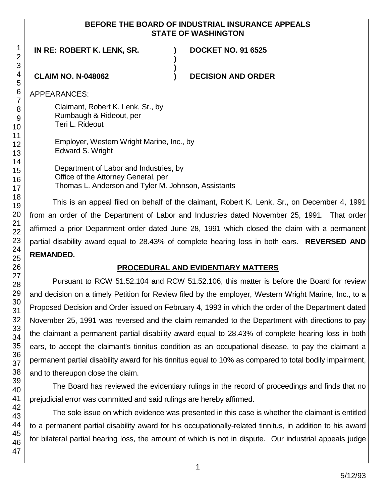## **BEFORE THE BOARD OF INDUSTRIAL INSURANCE APPEALS STATE OF WASHINGTON**

**)**

**)**

**IN RE: ROBERT K. LENK, SR. )**

**DOCKET NO. 91 6525**

**CLAIM NO. N-048062 ) DECISION AND ORDER**

APPEARANCES:

Claimant, Robert K. Lenk, Sr., by Rumbaugh & Rideout, per Teri L. Rideout

Employer, Western Wright Marine, Inc., by Edward S. Wright

Department of Labor and Industries, by Office of the Attorney General, per Thomas L. Anderson and Tyler M. Johnson, Assistants

This is an appeal filed on behalf of the claimant, Robert K. Lenk, Sr., on December 4, 1991 from an order of the Department of Labor and Industries dated November 25, 1991. That order affirmed a prior Department order dated June 28, 1991 which closed the claim with a permanent partial disability award equal to 28.43% of complete hearing loss in both ears. **REVERSED AND REMANDED.**

# **PROCEDURAL AND EVIDENTIARY MATTERS**

Pursuant to RCW 51.52.104 and RCW 51.52.106, this matter is before the Board for review and decision on a timely Petition for Review filed by the employer, Western Wright Marine, Inc., to a Proposed Decision and Order issued on February 4, 1993 in which the order of the Department dated November 25, 1991 was reversed and the claim remanded to the Department with directions to pay the claimant a permanent partial disability award equal to 28.43% of complete hearing loss in both ears, to accept the claimant's tinnitus condition as an occupational disease, to pay the claimant a permanent partial disability award for his tinnitus equal to 10% as compared to total bodily impairment, and to thereupon close the claim.

The Board has reviewed the evidentiary rulings in the record of proceedings and finds that no prejudicial error was committed and said rulings are hereby affirmed.

The sole issue on which evidence was presented in this case is whether the claimant is entitled to a permanent partial disability award for his occupationally-related tinnitus, in addition to his award for bilateral partial hearing loss, the amount of which is not in dispute. Our industrial appeals judge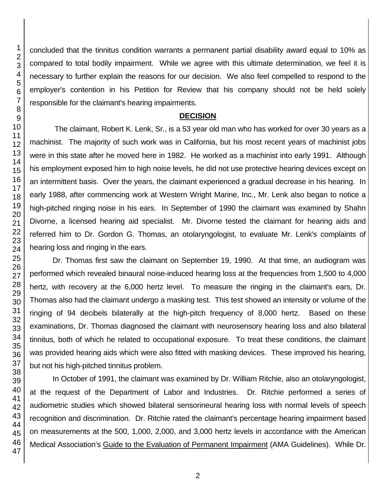concluded that the tinnitus condition warrants a permanent partial disability award equal to 10% as compared to total bodily impairment. While we agree with this ultimate determination, we feel it is necessary to further explain the reasons for our decision. We also feel compelled to respond to the employer's contention in his Petition for Review that his company should not be held solely responsible for the claimant's hearing impairments.

#### **DECISION**

The claimant, Robert K. Lenk, Sr., is a 53 year old man who has worked for over 30 years as a machinist. The majority of such work was in California, but his most recent years of machinist jobs were in this state after he moved here in 1982. He worked as a machinist into early 1991. Although his employment exposed him to high noise levels, he did not use protective hearing devices except on an intermittent basis. Over the years, the claimant experienced a gradual decrease in his hearing. In early 1988, after commencing work at Western Wright Marine, Inc., Mr. Lenk also began to notice a high-pitched ringing noise in his ears. In September of 1990 the claimant was examined by Shahn Divorne, a licensed hearing aid specialist. Mr. Divorne tested the claimant for hearing aids and referred him to Dr. Gordon G. Thomas, an otolaryngologist, to evaluate Mr. Lenk's complaints of hearing loss and ringing in the ears.

Dr. Thomas first saw the claimant on September 19, 1990. At that time, an audiogram was performed which revealed binaural noise-induced hearing loss at the frequencies from 1,500 to 4,000 hertz, with recovery at the 6,000 hertz level. To measure the ringing in the claimant's ears, Dr. Thomas also had the claimant undergo a masking test. This test showed an intensity or volume of the ringing of 94 decibels bilaterally at the high-pitch frequency of 8,000 hertz. Based on these examinations, Dr. Thomas diagnosed the claimant with neurosensory hearing loss and also bilateral tinnitus, both of which he related to occupational exposure. To treat these conditions, the claimant was provided hearing aids which were also fitted with masking devices. These improved his hearing, but not his high-pitched tinnitus problem.

In October of 1991, the claimant was examined by Dr. William Ritchie, also an otolaryngologist, at the request of the Department of Labor and Industries. Dr. Ritchie performed a series of audiometric studies which showed bilateral sensorineural hearing loss with normal levels of speech recognition and discrimination. Dr. Ritchie rated the claimant's percentage hearing impairment based on measurements at the 500, 1,000, 2,000, and 3,000 hertz levels in accordance with the American Medical Association's Guide to the Evaluation of Permanent Impairment (AMA Guidelines). While Dr.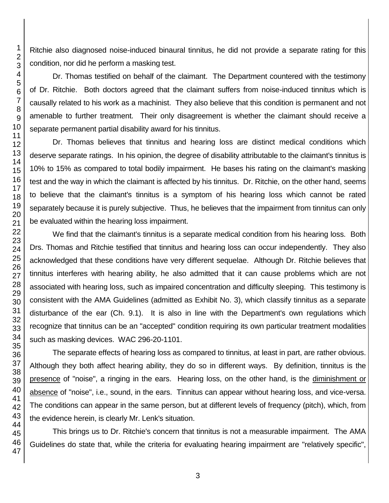Ritchie also diagnosed noise-induced binaural tinnitus, he did not provide a separate rating for this condition, nor did he perform a masking test.

Dr. Thomas testified on behalf of the claimant. The Department countered with the testimony of Dr. Ritchie. Both doctors agreed that the claimant suffers from noise-induced tinnitus which is causally related to his work as a machinist. They also believe that this condition is permanent and not amenable to further treatment. Their only disagreement is whether the claimant should receive a separate permanent partial disability award for his tinnitus.

Dr. Thomas believes that tinnitus and hearing loss are distinct medical conditions which deserve separate ratings. In his opinion, the degree of disability attributable to the claimant's tinnitus is 10% to 15% as compared to total bodily impairment. He bases his rating on the claimant's masking test and the way in which the claimant is affected by his tinnitus. Dr. Ritchie, on the other hand, seems to believe that the claimant's tinnitus is a symptom of his hearing loss which cannot be rated separately because it is purely subjective. Thus, he believes that the impairment from tinnitus can only be evaluated within the hearing loss impairment.

We find that the claimant's tinnitus is a separate medical condition from his hearing loss. Both Drs. Thomas and Ritchie testified that tinnitus and hearing loss can occur independently. They also acknowledged that these conditions have very different sequelae. Although Dr. Ritchie believes that tinnitus interferes with hearing ability, he also admitted that it can cause problems which are not associated with hearing loss, such as impaired concentration and difficulty sleeping. This testimony is consistent with the AMA Guidelines (admitted as Exhibit No. 3), which classify tinnitus as a separate disturbance of the ear (Ch. 9.1). It is also in line with the Department's own regulations which recognize that tinnitus can be an "accepted" condition requiring its own particular treatment modalities such as masking devices. WAC 296-20-1101.

The separate effects of hearing loss as compared to tinnitus, at least in part, are rather obvious. Although they both affect hearing ability, they do so in different ways. By definition, tinnitus is the presence of "noise", a ringing in the ears. Hearing loss, on the other hand, is the diminishment or absence of "noise", i.e., sound, in the ears. Tinnitus can appear without hearing loss, and vice-versa. The conditions can appear in the same person, but at different levels of frequency (pitch), which, from the evidence herein, is clearly Mr. Lenk's situation.

This brings us to Dr. Ritchie's concern that tinnitus is not a measurable impairment. The AMA Guidelines do state that, while the criteria for evaluating hearing impairment are "relatively specific",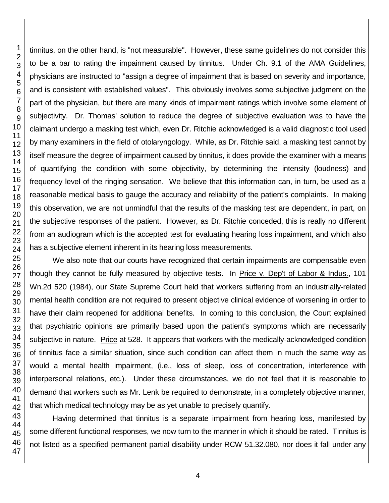tinnitus, on the other hand, is "not measurable". However, these same guidelines do not consider this to be a bar to rating the impairment caused by tinnitus. Under Ch. 9.1 of the AMA Guidelines, physicians are instructed to "assign a degree of impairment that is based on severity and importance, and is consistent with established values". This obviously involves some subjective judgment on the part of the physician, but there are many kinds of impairment ratings which involve some element of subjectivity. Dr. Thomas' solution to reduce the degree of subjective evaluation was to have the claimant undergo a masking test which, even Dr. Ritchie acknowledged is a valid diagnostic tool used by many examiners in the field of otolaryngology. While, as Dr. Ritchie said, a masking test cannot by itself measure the degree of impairment caused by tinnitus, it does provide the examiner with a means of quantifying the condition with some objectivity, by determining the intensity (loudness) and frequency level of the ringing sensation. We believe that this information can, in turn, be used as a reasonable medical basis to gauge the accuracy and reliability of the patient's complaints. In making this observation, we are not unmindful that the results of the masking test are dependent, in part, on the subjective responses of the patient. However, as Dr. Ritchie conceded, this is really no different from an audiogram which is the accepted test for evaluating hearing loss impairment, and which also has a subjective element inherent in its hearing loss measurements.

We also note that our courts have recognized that certain impairments are compensable even though they cannot be fully measured by objective tests. In Price v. Dep't of Labor & Indus., 101 Wn.2d 520 (1984), our State Supreme Court held that workers suffering from an industrially-related mental health condition are not required to present objective clinical evidence of worsening in order to have their claim reopened for additional benefits. In coming to this conclusion, the Court explained that psychiatric opinions are primarily based upon the patient's symptoms which are necessarily subjective in nature. Price at 528. It appears that workers with the medically-acknowledged condition of tinnitus face a similar situation, since such condition can affect them in much the same way as would a mental health impairment, (i.e., loss of sleep, loss of concentration, interference with interpersonal relations, etc.). Under these circumstances, we do not feel that it is reasonable to demand that workers such as Mr. Lenk be required to demonstrate, in a completely objective manner, that which medical technology may be as yet unable to precisely quantify.

Having determined that tinnitus is a separate impairment from hearing loss, manifested by some different functional responses, we now turn to the manner in which it should be rated. Tinnitus is not listed as a specified permanent partial disability under RCW 51.32.080, nor does it fall under any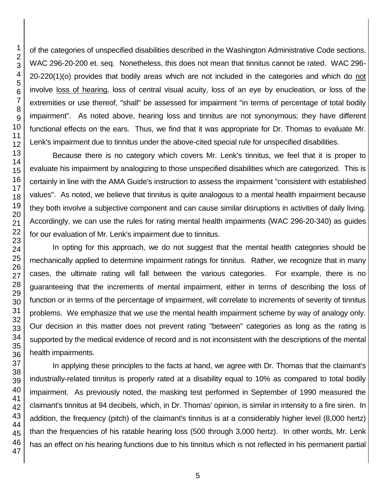of the categories of unspecified disabilities described in the Washington Administrative Code sections. WAC 296-20-200 et. seq. Nonetheless, this does not mean that tinnitus cannot be rated. WAC 296- 20-220(1)(o) provides that bodily areas which are not included in the categories and which do not involve loss of hearing, loss of central visual acuity, loss of an eye by enucleation, or loss of the extremities or use thereof, "shall" be assessed for impairment "in terms of percentage of total bodily impairment". As noted above, hearing loss and tinnitus are not synonymous; they have different functional effects on the ears. Thus, we find that it was appropriate for Dr. Thomas to evaluate Mr. Lenk's impairment due to tinnitus under the above-cited special rule for unspecified disabilities.

Because there is no category which covers Mr. Lenk's tinnitus, we feel that it is proper to evaluate his impairment by analogizing to those unspecified disabilities which are categorized. This is certainly in line with the AMA Guide's instruction to assess the impairment "consistent with established values". As noted, we believe that tinnitus is quite analogous to a mental health impairment because they both involve a subjective component and can cause similar disruptions in activities of daily living. Accordingly, we can use the rules for rating mental health impairments (WAC 296-20-340) as guides for our evaluation of Mr. Lenk's impairment due to tinnitus.

In opting for this approach, we do not suggest that the mental health categories should be mechanically applied to determine impairment ratings for tinnitus. Rather, we recognize that in many cases, the ultimate rating will fall between the various categories. For example, there is no guaranteeing that the increments of mental impairment, either in terms of describing the loss of function or in terms of the percentage of impairment, will correlate to increments of severity of tinnitus problems. We emphasize that we use the mental health impairment scheme by way of analogy only. Our decision in this matter does not prevent rating "between" categories as long as the rating is supported by the medical evidence of record and is not inconsistent with the descriptions of the mental health impairments.

In applying these principles to the facts at hand, we agree with Dr. Thomas that the claimant's industrially-related tinnitus is properly rated at a disability equal to 10% as compared to total bodily impairment. As previously noted, the masking test performed in September of 1990 measured the claimant's tinnitus at 94 decibels, which, in Dr. Thomas' opinion, is similar in intensity to a fire siren. In addition, the frequency (pitch) of the claimant's tinnitus is at a considerably higher level (8,000 hertz) than the frequencies of his ratable hearing loss (500 through 3,000 hertz). In other words, Mr. Lenk has an effect on his hearing functions due to his tinnitus which is not reflected in his permanent partial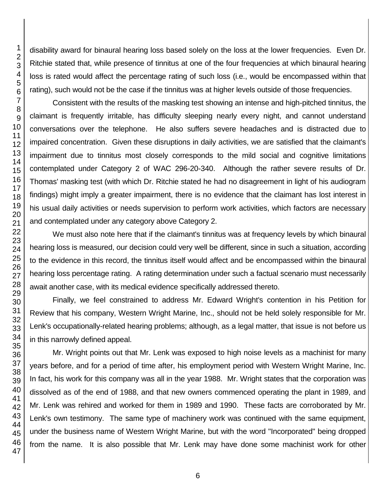disability award for binaural hearing loss based solely on the loss at the lower frequencies. Even Dr. Ritchie stated that, while presence of tinnitus at one of the four frequencies at which binaural hearing loss is rated would affect the percentage rating of such loss (i.e., would be encompassed within that rating), such would not be the case if the tinnitus was at higher levels outside of those frequencies.

Consistent with the results of the masking test showing an intense and high-pitched tinnitus, the claimant is frequently irritable, has difficulty sleeping nearly every night, and cannot understand conversations over the telephone. He also suffers severe headaches and is distracted due to impaired concentration. Given these disruptions in daily activities, we are satisfied that the claimant's impairment due to tinnitus most closely corresponds to the mild social and cognitive limitations contemplated under Category 2 of WAC 296-20-340. Although the rather severe results of Dr. Thomas' masking test (with which Dr. Ritchie stated he had no disagreement in light of his audiogram findings) might imply a greater impairment, there is no evidence that the claimant has lost interest in his usual daily activities or needs supervision to perform work activities, which factors are necessary and contemplated under any category above Category 2.

We must also note here that if the claimant's tinnitus was at frequency levels by which binaural hearing loss is measured, our decision could very well be different, since in such a situation, according to the evidence in this record, the tinnitus itself would affect and be encompassed within the binaural hearing loss percentage rating. A rating determination under such a factual scenario must necessarily await another case, with its medical evidence specifically addressed thereto.

Finally, we feel constrained to address Mr. Edward Wright's contention in his Petition for Review that his company, Western Wright Marine, Inc., should not be held solely responsible for Mr. Lenk's occupationally-related hearing problems; although, as a legal matter, that issue is not before us in this narrowly defined appeal.

Mr. Wright points out that Mr. Lenk was exposed to high noise levels as a machinist for many years before, and for a period of time after, his employment period with Western Wright Marine, Inc. In fact, his work for this company was all in the year 1988. Mr. Wright states that the corporation was dissolved as of the end of 1988, and that new owners commenced operating the plant in 1989, and Mr. Lenk was rehired and worked for them in 1989 and 1990. These facts are corroborated by Mr. Lenk's own testimony. The same type of machinery work was continued with the same equipment, under the business name of Western Wright Marine, but with the word "Incorporated" being dropped from the name. It is also possible that Mr. Lenk may have done some machinist work for other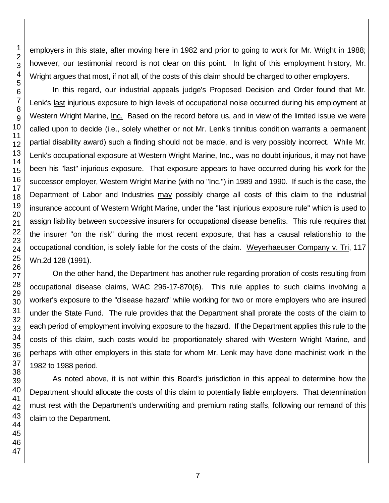employers in this state, after moving here in 1982 and prior to going to work for Mr. Wright in 1988; however, our testimonial record is not clear on this point. In light of this employment history, Mr. Wright argues that most, if not all, of the costs of this claim should be charged to other employers.

In this regard, our industrial appeals judge's Proposed Decision and Order found that Mr. Lenk's last injurious exposure to high levels of occupational noise occurred during his employment at Western Wright Marine, Inc. Based on the record before us, and in view of the limited issue we were called upon to decide (i.e., solely whether or not Mr. Lenk's tinnitus condition warrants a permanent partial disability award) such a finding should not be made, and is very possibly incorrect. While Mr. Lenk's occupational exposure at Western Wright Marine, Inc., was no doubt injurious, it may not have been his "last" injurious exposure. That exposure appears to have occurred during his work for the successor employer, Western Wright Marine (with no "Inc.") in 1989 and 1990. If such is the case, the Department of Labor and Industries may possibly charge all costs of this claim to the industrial insurance account of Western Wright Marine, under the "last injurious exposure rule" which is used to assign liability between successive insurers for occupational disease benefits. This rule requires that the insurer "on the risk" during the most recent exposure, that has a causal relationship to the occupational condition, is solely liable for the costs of the claim. Weyerhaeuser Company v. Tri, 117 Wn.2d 128 (1991).

On the other hand, the Department has another rule regarding proration of costs resulting from occupational disease claims, WAC 296-17-870(6). This rule applies to such claims involving a worker's exposure to the "disease hazard" while working for two or more employers who are insured under the State Fund. The rule provides that the Department shall prorate the costs of the claim to each period of employment involving exposure to the hazard. If the Department applies this rule to the costs of this claim, such costs would be proportionately shared with Western Wright Marine, and perhaps with other employers in this state for whom Mr. Lenk may have done machinist work in the 1982 to 1988 period.

As noted above, it is not within this Board's jurisdiction in this appeal to determine how the Department should allocate the costs of this claim to potentially liable employers. That determination must rest with the Department's underwriting and premium rating staffs, following our remand of this claim to the Department.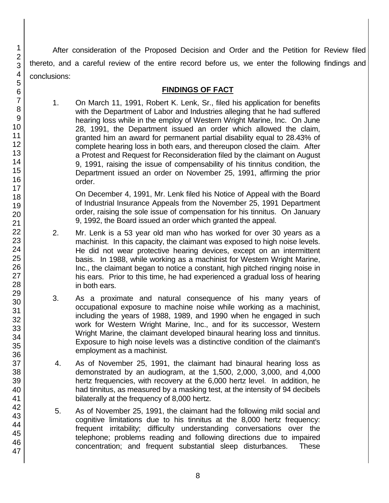After consideration of the Proposed Decision and Order and the Petition for Review filed thereto, and a careful review of the entire record before us, we enter the following findings and conclusions:

# **FINDINGS OF FACT**

1. On March 11, 1991, Robert K. Lenk, Sr., filed his application for benefits with the Department of Labor and Industries alleging that he had suffered hearing loss while in the employ of Western Wright Marine, Inc. On June 28, 1991, the Department issued an order which allowed the claim, granted him an award for permanent partial disability equal to 28.43% of complete hearing loss in both ears, and thereupon closed the claim. After a Protest and Request for Reconsideration filed by the claimant on August 9, 1991, raising the issue of compensability of his tinnitus condition, the Department issued an order on November 25, 1991, affirming the prior order.

On December 4, 1991, Mr. Lenk filed his Notice of Appeal with the Board of Industrial Insurance Appeals from the November 25, 1991 Department order, raising the sole issue of compensation for his tinnitus. On January 9, 1992, the Board issued an order which granted the appeal.

- 2. Mr. Lenk is a 53 year old man who has worked for over 30 years as a machinist. In this capacity, the claimant was exposed to high noise levels. He did not wear protective hearing devices, except on an intermittent basis. In 1988, while working as a machinist for Western Wright Marine, Inc., the claimant began to notice a constant, high pitched ringing noise in his ears. Prior to this time, he had experienced a gradual loss of hearing in both ears.
- 3. As a proximate and natural consequence of his many years of occupational exposure to machine noise while working as a machinist, including the years of 1988, 1989, and 1990 when he engaged in such work for Western Wright Marine, Inc., and for its successor, Western Wright Marine, the claimant developed binaural hearing loss and tinnitus. Exposure to high noise levels was a distinctive condition of the claimant's employment as a machinist.
- 4. As of November 25, 1991, the claimant had binaural hearing loss as demonstrated by an audiogram, at the 1,500, 2,000, 3,000, and 4,000 hertz frequencies, with recovery at the 6,000 hertz level. In addition, he had tinnitus, as measured by a masking test, at the intensity of 94 decibels bilaterally at the frequency of 8,000 hertz.
- 5. As of November 25, 1991, the claimant had the following mild social and cognitive limitations due to his tinnitus at the 8,000 hertz frequency: frequent irritability; difficulty understanding conversations over the telephone; problems reading and following directions due to impaired concentration; and frequent substantial sleep disturbances. These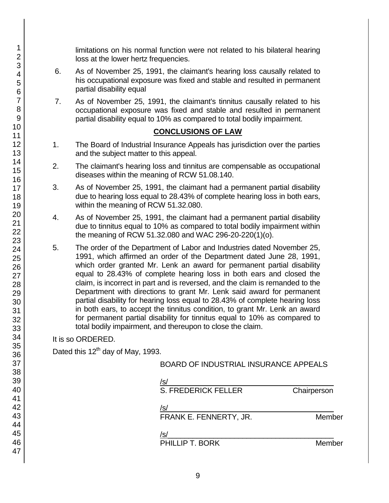limitations on his normal function were not related to his bilateral hearing loss at the lower hertz frequencies.

- 6. As of November 25, 1991, the claimant's hearing loss causally related to his occupational exposure was fixed and stable and resulted in permanent partial disability equal
- 7. As of November 25, 1991, the claimant's tinnitus causally related to his occupational exposure was fixed and stable and resulted in permanent partial disability equal to 10% as compared to total bodily impairment.

## **CONCLUSIONS OF LAW**

- 1. The Board of Industrial Insurance Appeals has jurisdiction over the parties and the subject matter to this appeal.
- 2. The claimant's hearing loss and tinnitus are compensable as occupational diseases within the meaning of RCW 51.08.140.
- 3. As of November 25, 1991, the claimant had a permanent partial disability due to hearing loss equal to 28.43% of complete hearing loss in both ears, within the meaning of RCW 51.32.080.
- 4. As of November 25, 1991, the claimant had a permanent partial disability due to tinnitus equal to 10% as compared to total bodily impairment within the meaning of RCW 51.32.080 and WAC 296-20-220(1)(o).
- 5. The order of the Department of Labor and Industries dated November 25, 1991, which affirmed an order of the Department dated June 28, 1991, which order granted Mr. Lenk an award for permanent partial disability equal to 28.43% of complete hearing loss in both ears and closed the claim, is incorrect in part and is reversed, and the claim is remanded to the Department with directions to grant Mr. Lenk said award for permanent partial disability for hearing loss equal to 28.43% of complete hearing loss in both ears, to accept the tinnitus condition, to grant Mr. Lenk an award for permanent partial disability for tinnitus equal to 10% as compared to total bodily impairment, and thereupon to close the claim.

## It is so ORDERED.

Dated this 12<sup>th</sup> day of May, 1993.

## BOARD OF INDUSTRIAL INSURANCE APPEALS

| /s/                        |             |
|----------------------------|-------------|
| <b>S. FREDERICK FELLER</b> | Chairperson |
| /s/                        |             |
| FRANK E. FENNERTY, JR.     | Member      |
| /s/                        |             |
| PHILLIP T. BORK            | Member      |
|                            |             |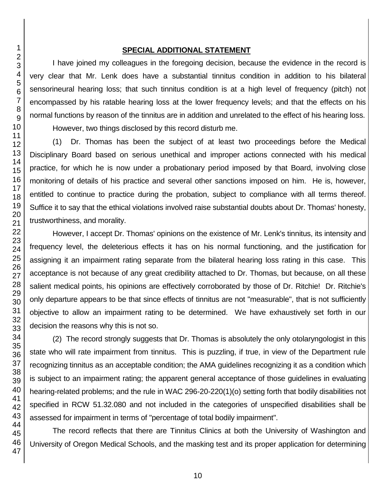### **SPECIAL ADDITIONAL STATEMENT**

I have joined my colleagues in the foregoing decision, because the evidence in the record is very clear that Mr. Lenk does have a substantial tinnitus condition in addition to his bilateral sensorineural hearing loss; that such tinnitus condition is at a high level of frequency (pitch) not encompassed by his ratable hearing loss at the lower frequency levels; and that the effects on his normal functions by reason of the tinnitus are in addition and unrelated to the effect of his hearing loss. However, two things disclosed by this record disturb me.

(1) Dr. Thomas has been the subject of at least two proceedings before the Medical Disciplinary Board based on serious unethical and improper actions connected with his medical practice, for which he is now under a probationary period imposed by that Board, involving close monitoring of details of his practice and several other sanctions imposed on him. He is, however, entitled to continue to practice during the probation, subject to compliance with all terms thereof. Suffice it to say that the ethical violations involved raise substantial doubts about Dr. Thomas' honesty, trustworthiness, and morality.

However, I accept Dr. Thomas' opinions on the existence of Mr. Lenk's tinnitus, its intensity and frequency level, the deleterious effects it has on his normal functioning, and the justification for assigning it an impairment rating separate from the bilateral hearing loss rating in this case. This acceptance is not because of any great credibility attached to Dr. Thomas, but because, on all these salient medical points, his opinions are effectively corroborated by those of Dr. Ritchie! Dr. Ritchie's only departure appears to be that since effects of tinnitus are not "measurable", that is not sufficiently objective to allow an impairment rating to be determined. We have exhaustively set forth in our decision the reasons why this is not so.

(2) The record strongly suggests that Dr. Thomas is absolutely the only otolaryngologist in this state who will rate impairment from tinnitus. This is puzzling, if true, in view of the Department rule recognizing tinnitus as an acceptable condition; the AMA guidelines recognizing it as a condition which is subject to an impairment rating; the apparent general acceptance of those guidelines in evaluating hearing-related problems; and the rule in WAC 296-20-220(1)(o) setting forth that bodily disabilities not specified in RCW 51.32.080 and not included in the categories of unspecified disabilities shall be assessed for impairment in terms of "percentage of total bodily impairment".

The record reflects that there are Tinnitus Clinics at both the University of Washington and University of Oregon Medical Schools, and the masking test and its proper application for determining